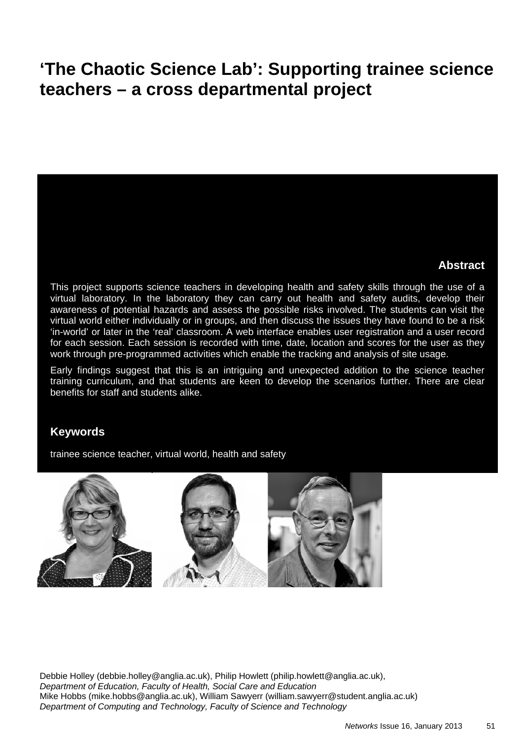# **'The Chaotic Science Lab': Supporting trainee science teachers – a cross departmental project**

#### **Abstract**

This project supports science teachers in developing health and safety skills through the use of a virtual laboratory. In the laboratory they can carry out health and safety audits, develop their awareness of potential hazards and assess the possible risks involved. The students can visit the virtual world either individually or in groups, and then discuss the issues they have found to be a risk 'in-world' or later in the 'real' classroom. A web interface enables user registration and a user record for each session. Each session is recorded with time, date, location and scores for the user as they work through pre-programmed activities which enable the tracking and analysis of site usage.

Early findings suggest that this is an intriguing and unexpected addition to the science teacher training curriculum, and that students are keen to develop the scenarios further. There are clear benefits for staff and students alike.

#### **Keywords**

trainee science teacher, virtual world, health and safety



Debbie Holley (debbie.holley@anglia.ac.uk), Philip Howlett (philip.howlett@anglia.ac.uk), *Department of Education, Faculty of Health, Social Care and Education*  Mike Hobbs (mike.hobbs@anglia.ac.uk), William Sawyerr (william.sawyerr@student.anglia.ac.uk) *Department of Computing and Technology, Faculty of Science and Technology*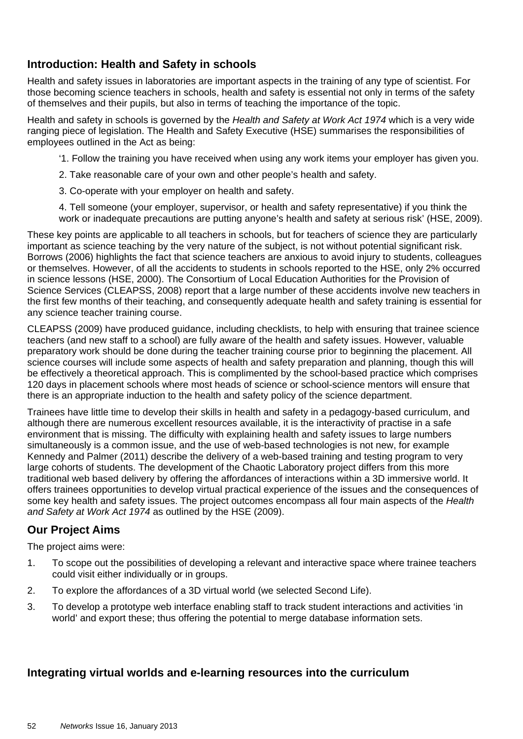## **Introduction: Health and Safety in schools**

Health and safety issues in laboratories are important aspects in the training of any type of scientist. For those becoming science teachers in schools, health and safety is essential not only in terms of the safety of themselves and their pupils, but also in terms of teaching the importance of the topic.

Health and safety in schools is governed by the *Health and Safety at Work Act 1974* which is a very wide ranging piece of legislation. The Health and Safety Executive (HSE) summarises the responsibilities of employees outlined in the Act as being:

'1. Follow the training you have received when using any work items your employer has given you.

- 2. Take reasonable care of your own and other people's health and safety.
- 3. Co-operate with your employer on health and safety.

4. Tell someone (your employer, supervisor, or health and safety representative) if you think the work or inadequate precautions are putting anyone's health and safety at serious risk' (HSE, 2009).

These key points are applicable to all teachers in schools, but for teachers of science they are particularly important as science teaching by the very nature of the subject, is not without potential significant risk. Borrows (2006) highlights the fact that science teachers are anxious to avoid injury to students, colleagues or themselves. However, of all the accidents to students in schools reported to the HSE, only 2% occurred in science lessons (HSE, 2000). The Consortium of Local Education Authorities for the Provision of Science Services (CLEAPSS, 2008) report that a large number of these accidents involve new teachers in the first few months of their teaching, and consequently adequate health and safety training is essential for any science teacher training course.

CLEAPSS (2009) have produced guidance, including checklists, to help with ensuring that trainee science teachers (and new staff to a school) are fully aware of the health and safety issues. However, valuable preparatory work should be done during the teacher training course prior to beginning the placement. All science courses will include some aspects of health and safety preparation and planning, though this will be effectively a theoretical approach. This is complimented by the school-based practice which comprises 120 days in placement schools where most heads of science or school-science mentors will ensure that there is an appropriate induction to the health and safety policy of the science department.

Trainees have little time to develop their skills in health and safety in a pedagogy-based curriculum, and although there are numerous excellent resources available, it is the interactivity of practise in a safe environment that is missing. The difficulty with explaining health and safety issues to large numbers simultaneously is a common issue, and the use of web-based technologies is not new, for example Kennedy and Palmer (2011) describe the delivery of a web-based training and testing program to very large cohorts of students. The development of the Chaotic Laboratory project differs from this more traditional web based delivery by offering the affordances of interactions within a 3D immersive world. It offers trainees opportunities to develop virtual practical experience of the issues and the consequences of some key health and safety issues. The project outcomes encompass all four main aspects of the *Health and Safety at Work Act 1974* as outlined by the HSE (2009).

## **Our Project Aims**

The project aims were:

- 1. To scope out the possibilities of developing a relevant and interactive space where trainee teachers could visit either individually or in groups.
- 2. To explore the affordances of a 3D virtual world (we selected Second Life).
- 3. To develop a prototype web interface enabling staff to track student interactions and activities 'in world' and export these; thus offering the potential to merge database information sets.

## **Integrating virtual worlds and e-learning resources into the curriculum**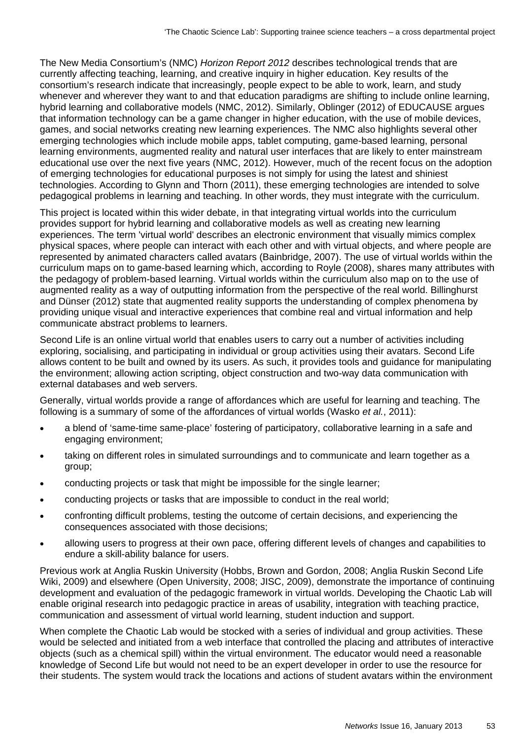The New Media Consortium's (NMC) *Horizon Report 2012* describes technological trends that are currently affecting teaching, learning, and creative inquiry in higher education. Key results of the consortium's research indicate that increasingly, people expect to be able to work, learn, and study whenever and wherever they want to and that education paradigms are shifting to include online learning, hybrid learning and collaborative models (NMC, 2012). Similarly, Oblinger (2012) of EDUCAUSE argues that information technology can be a game changer in higher education, with the use of mobile devices, games, and social networks creating new learning experiences. The NMC also highlights several other emerging technologies which include mobile apps, tablet computing, game-based learning, personal learning environments, augmented reality and natural user interfaces that are likely to enter mainstream educational use over the next five years (NMC, 2012). However, much of the recent focus on the adoption of emerging technologies for educational purposes is not simply for using the latest and shiniest technologies. According to Glynn and Thorn (2011), these emerging technologies are intended to solve pedagogical problems in learning and teaching. In other words, they must integrate with the curriculum.

This project is located within this wider debate, in that integrating virtual worlds into the curriculum provides support for hybrid learning and collaborative models as well as creating new learning experiences. The term 'virtual world' describes an electronic environment that visually mimics complex physical spaces, where people can interact with each other and with virtual objects, and where people are represented by animated characters called avatars (Bainbridge, 2007). The use of virtual worlds within the curriculum maps on to game-based learning which, according to Royle (2008), shares many attributes with the pedagogy of problem-based learning. Virtual worlds within the curriculum also map on to the use of augmented reality as a way of outputting information from the perspective of the real world. Billinghurst and Dünser (2012) state that augmented reality supports the understanding of complex phenomena by providing unique visual and interactive experiences that combine real and virtual information and help communicate abstract problems to learners.

Second Life is an online virtual world that enables users to carry out a number of activities including exploring, socialising, and participating in individual or group activities using their avatars. Second Life allows content to be built and owned by its users. As such, it provides tools and guidance for manipulating the environment; allowing action scripting, object construction and two-way data communication with external databases and web servers.

Generally, virtual worlds provide a range of affordances which are useful for learning and teaching. The following is a summary of some of the affordances of virtual worlds (Wasko *et al.*, 2011):

- a blend of 'same-time same-place' fostering of participatory, collaborative learning in a safe and engaging environment;
- taking on different roles in simulated surroundings and to communicate and learn together as a group;
- conducting projects or task that might be impossible for the single learner;
- conducting projects or tasks that are impossible to conduct in the real world;
- confronting difficult problems, testing the outcome of certain decisions, and experiencing the consequences associated with those decisions;
- allowing users to progress at their own pace, offering different levels of changes and capabilities to endure a skill-ability balance for users.

Previous work at Anglia Ruskin University (Hobbs, Brown and Gordon, 2008; Anglia Ruskin Second Life Wiki, 2009) and elsewhere (Open University, 2008; JISC, 2009), demonstrate the importance of continuing development and evaluation of the pedagogic framework in virtual worlds. Developing the Chaotic Lab will enable original research into pedagogic practice in areas of usability, integration with teaching practice, communication and assessment of virtual world learning, student induction and support.

When complete the Chaotic Lab would be stocked with a series of individual and group activities. These would be selected and initiated from a web interface that controlled the placing and attributes of interactive objects (such as a chemical spill) within the virtual environment. The educator would need a reasonable knowledge of Second Life but would not need to be an expert developer in order to use the resource for their students. The system would track the locations and actions of student avatars within the environment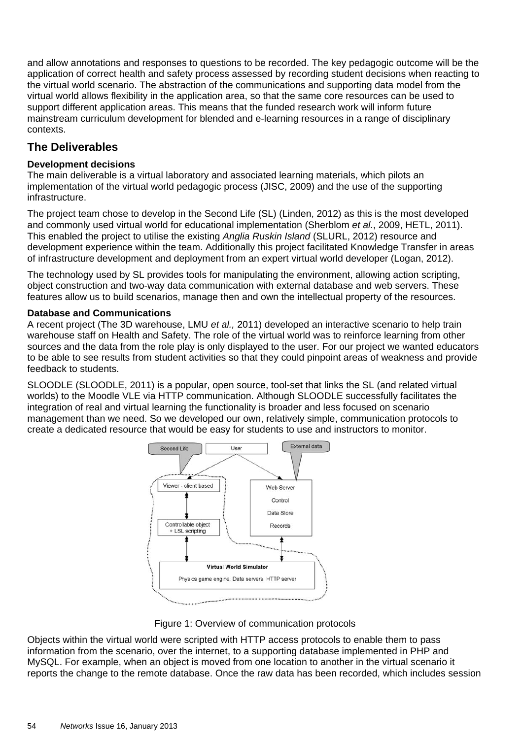and allow annotations and responses to questions to be recorded. The key pedagogic outcome will be the application of correct health and safety process assessed by recording student decisions when reacting to the virtual world scenario. The abstraction of the communications and supporting data model from the virtual world allows flexibility in the application area, so that the same core resources can be used to support different application areas. This means that the funded research work will inform future mainstream curriculum development for blended and e-learning resources in a range of disciplinary contexts.

### **The Deliverables**

#### **Development decisions**

The main deliverable is a virtual laboratory and associated learning materials, which pilots an implementation of the virtual world pedagogic process (JISC, 2009) and the use of the supporting infrastructure.

The project team chose to develop in the Second Life (SL) (Linden, 2012) as this is the most developed and commonly used virtual world for educational implementation (Sherblom *et al.*, 2009, HETL, 2011). This enabled the project to utilise the existing *Anglia Ruskin Island* (SLURL, 2012) resource and development experience within the team. Additionally this project facilitated Knowledge Transfer in areas of infrastructure development and deployment from an expert virtual world developer (Logan, 2012).

The technology used by SL provides tools for manipulating the environment, allowing action scripting, object construction and two-way data communication with external database and web servers. These features allow us to build scenarios, manage then and own the intellectual property of the resources.

#### **Database and Communications**

A recent project (The 3D warehouse, LMU *et al.,* 2011) developed an interactive scenario to help train warehouse staff on Health and Safety. The role of the virtual world was to reinforce learning from other sources and the data from the role play is only displayed to the user. For our project we wanted educators to be able to see results from student activities so that they could pinpoint areas of weakness and provide feedback to students.

SLOODLE (SLOODLE, 2011) is a popular, open source, tool-set that links the SL (and related virtual worlds) to the Moodle VLE via HTTP communication. Although SLOODLE successfully facilitates the integration of real and virtual learning the functionality is broader and less focused on scenario management than we need. So we developed our own, relatively simple, communication protocols to create a dedicated resource that would be easy for students to use and instructors to monitor.



Figure 1: Overview of communication protocols

Objects within the virtual world were scripted with HTTP access protocols to enable them to pass information from the scenario, over the internet, to a supporting database implemented in PHP and MySQL. For example, when an object is moved from one location to another in the virtual scenario it reports the change to the remote database. Once the raw data has been recorded, which includes session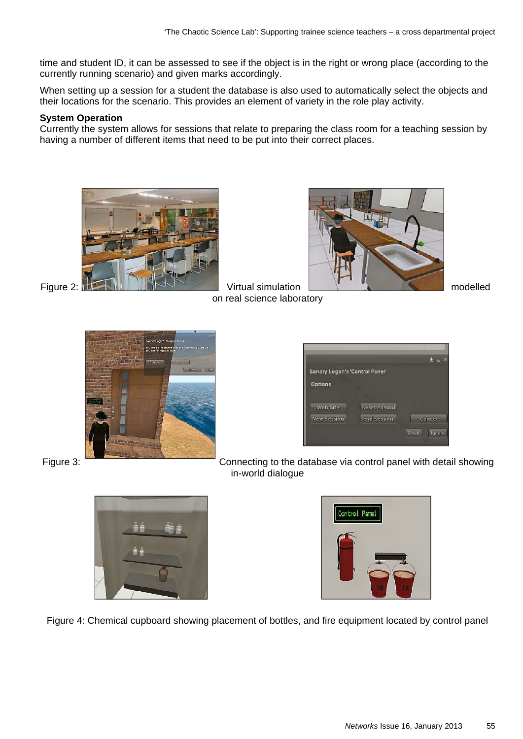time and student ID, it can be assessed to see if the object is in the right or wrong place (according to the currently running scenario) and given marks accordingly.

When setting up a session for a student the database is also used to automatically select the objects and their locations for the scenario. This provides an element of variety in the role play activity.

#### **System Operation**

Currently the system allows for sessions that relate to preparing the class room for a teaching session by having a number of different items that need to be put into their correct places.



on real science laboratory





Sandry Logan's 'Control Panel' Options Web Site Reset Passwd End Session New Session Cancel **Pitch Langle** 





Figure 4: Chemical cupboard showing placement of bottles, and fire equipment located by control panel

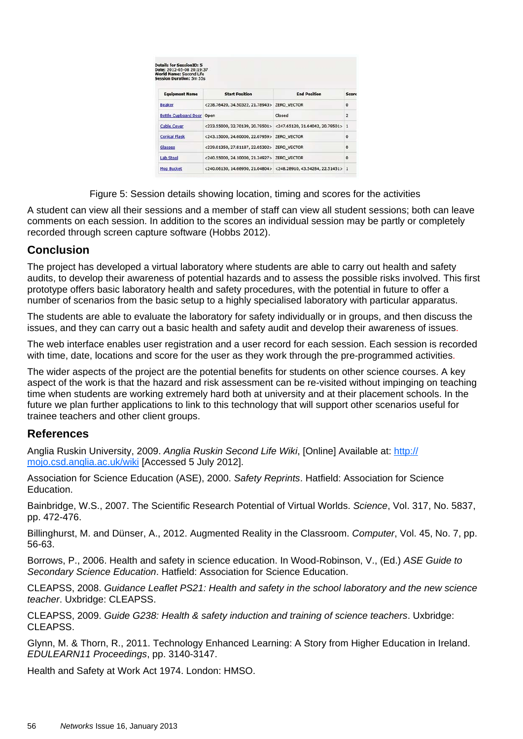| <b>World Name: Second Life</b><br><b>Session Duration: 5m 55s</b> |                                             |                                                                                                   |                |
|-------------------------------------------------------------------|---------------------------------------------|---------------------------------------------------------------------------------------------------|----------------|
| <b>Equipment Name</b>                                             | <b>Start Position</b>                       | <b>End Position</b>                                                                               | Score          |
| <b>Beaker</b>                                                     | <238.76420, 34.50322, 21.78943> ZERO VECTOR |                                                                                                   | $\Omega$       |
| <b>Bottle Cupboard Door Open</b>                                  |                                             | Closed                                                                                            | $\overline{2}$ |
| <b>Cable Cover</b>                                                |                                             | $\langle 233.55000, 32.70139, 20.79501 \rangle$ $\langle 247.65120, 31.64042, 20.79501 \rangle$ 1 |                |
| <b>Conical Flask</b>                                              | <243.15000, 24.60000, 22.07959> ZERO_VECTOR |                                                                                                   | $\mathbf 0$    |
| <b>Glasses</b>                                                    | <239.01350, 27.81187, 22.05302> ZERO_VECTOR |                                                                                                   | $\Omega$       |
| <b>Lab Stool</b>                                                  | <240.55000, 24.10000, 21.24927> ZERO_VECTOR |                                                                                                   | $\Omega$       |
| <b>Mop Bucket</b>                                                 |                                             | $<$ 240.06130, 14.66950, 21.04804> $<$ 248.28910, 43.54284, 22.51451> 1                           |                |

Figure 5: Session details showing location, timing and scores for the activities

A student can view all their sessions and a member of staff can view all student sessions; both can leave comments on each session. In addition to the scores an individual session may be partly or completely recorded through screen capture software (Hobbs 2012).

#### **Conclusion**

The project has developed a virtual laboratory where students are able to carry out health and safety audits, to develop their awareness of potential hazards and to assess the possible risks involved. This first prototype offers basic laboratory health and safety procedures, with the potential in future to offer a number of scenarios from the basic setup to a highly specialised laboratory with particular apparatus.

The students are able to evaluate the laboratory for safety individually or in groups, and then discuss the issues, and they can carry out a basic health and safety audit and develop their awareness of issues.

The web interface enables user registration and a user record for each session. Each session is recorded with time, date, locations and score for the user as they work through the pre-programmed activities.

The wider aspects of the project are the potential benefits for students on other science courses. A key aspect of the work is that the hazard and risk assessment can be re-visited without impinging on teaching time when students are working extremely hard both at university and at their placement schools. In the future we plan further applications to link to this technology that will support other scenarios useful for trainee teachers and other client groups.

#### **References**

Anglia Ruskin University, 2009. *Anglia Ruskin Second Life Wiki*, [Online] Available at: http:// mojo.csd.anglia.ac.uk/wiki [Accessed 5 July 2012].

Association for Science Education (ASE), 2000. *Safety Reprints*. Hatfield: Association for Science Education.

Bainbridge, W.S., 2007. The Scientific Research Potential of Virtual Worlds. *Science*, Vol. 317, No. 5837, pp. 472-476.

Billinghurst, M. and Dünser, A., 2012. Augmented Reality in the Classroom. *Computer*, Vol. 45, No. 7, pp. 56-63.

Borrows, P., 2006. Health and safety in science education. In Wood-Robinson, V., (Ed.) *ASE Guide to Secondary Science Education*. Hatfield: Association for Science Education.

CLEAPSS, 2008. *Guidance Leaflet PS21: Health and safety in the school laboratory and the new science teacher*. Uxbridge: CLEAPSS.

CLEAPSS, 2009. *Guide G238: Health & safety induction and training of science teachers*. Uxbridge: CLEAPSS.

Glynn, M. & Thorn, R., 2011. Technology Enhanced Learning: A Story from Higher Education in Ireland. *EDULEARN11 Proceedings*, pp. 3140-3147.

Health and Safety at Work Act 1974. London: HMSO.